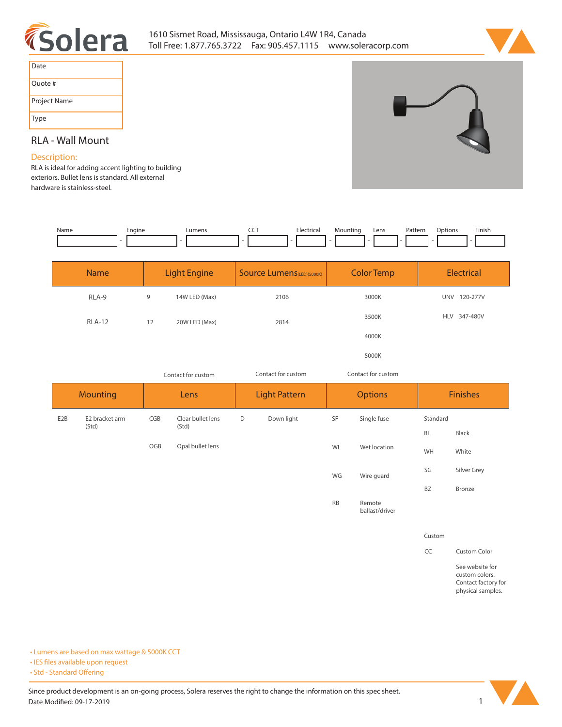



| Date         |
|--------------|
| Quote #      |
| Project Name |
| Type         |

## **RLA - Wall Mount**

## **Description:**

**RLA is ideal for adding accent lighting to building exteriors. Bullet lens is standard. All external hardware is stainless-steel.** 

| Name | Engine | umens | --- | <sup>+</sup> rica<br>$\sim$ $\sim$ | Mountinc | Lens | Pattern | )ption: | <b>Finish</b> |
|------|--------|-------|-----|------------------------------------|----------|------|---------|---------|---------------|
|      |        |       |     |                                    |          |      |         |         |               |

| <b>Name</b>   | <b>Light Engine</b> |               | <b>Source Lumens (LED)(5000K)</b> | <b>Color Temp</b> | Electrical             |  |
|---------------|---------------------|---------------|-----------------------------------|-------------------|------------------------|--|
| RLA-9         | 9                   | 14W LED (Max) | 2106                              | 3000K             | 120-277V<br><b>UNV</b> |  |
| <b>RLA-12</b> | 12                  | 20W LED (Max) | 2814                              | 3500K             | 347-480V<br><b>HLV</b> |  |
|               |                     |               |                                   | 4000K             |                        |  |
|               |                     |               |                                   | 5000K             |                        |  |

| Contact for custom |                         |      | Contact for custom         |                      | Contact for custom |                |              |                 |               |
|--------------------|-------------------------|------|----------------------------|----------------------|--------------------|----------------|--------------|-----------------|---------------|
| <b>Mounting</b>    |                         | Lens |                            | <b>Light Pattern</b> |                    | <b>Options</b> |              | <b>Finishes</b> |               |
| E <sub>2</sub> B   | E2 bracket arm<br>(Std) | CGB  | Clear bullet lens<br>(Std) | D                    | Down light         | SF             | Single fuse  | Standard        |               |
|                    |                         |      |                            |                      |                    |                |              | <b>BL</b>       | Black         |
|                    |                         | OGB  | Opal bullet lens           |                      |                    | <b>WL</b>      | Wet location | WH              | White         |
|                    |                         |      |                            |                      |                    | WG             | Wire guard   | SG              | Silver Grey   |
|                    |                         |      |                            |                      |                    |                |              | <b>BZ</b>       | <b>Bronze</b> |
|                    |                         |      |                            |                      |                    | <b>RB</b>      | Remote       |                 |               |

**ballast/driver**

**Custom**

**CC Custom Color**

**See website for custom colors. Contact factory for physical samples.** 

**• Lumens are based on max wattage & 5000K CCT**

**• IES files available upon request** 

• Std - Standard Offering